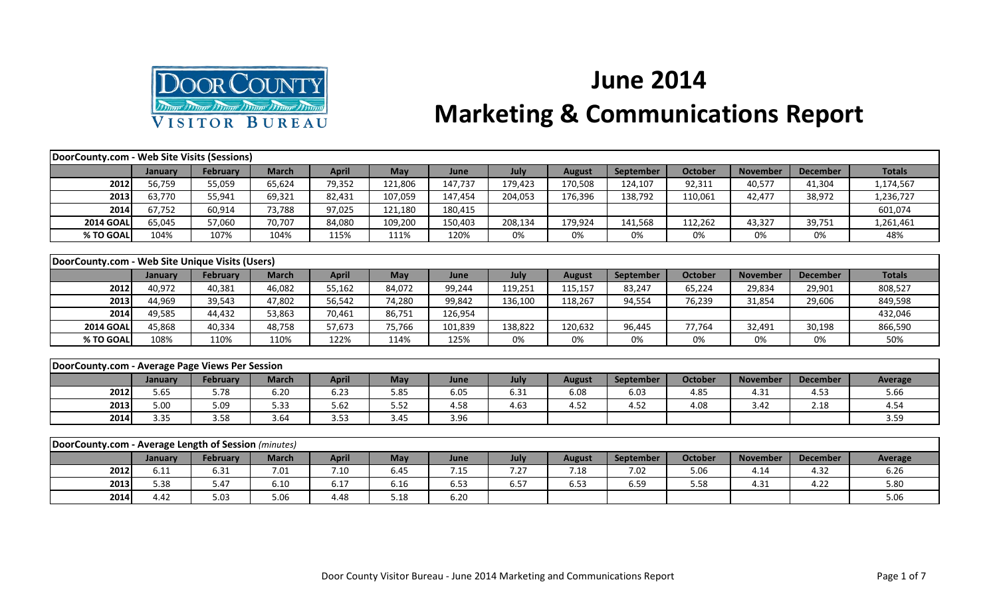

## **June 2014 Marketing & Communications Report**

| DoorCounty.com - Web Site Visits (Sessions)          |         |                 |              |              |            |         |         |               |                  |                |                 |                 |                |
|------------------------------------------------------|---------|-----------------|--------------|--------------|------------|---------|---------|---------------|------------------|----------------|-----------------|-----------------|----------------|
|                                                      | January | February        | <b>March</b> | <b>April</b> | <b>May</b> | June    | July    | <b>August</b> | <b>September</b> | October        | <b>November</b> | <b>December</b> | <b>Totals</b>  |
| 2012                                                 | 56,759  | 55,059          | 65,624       | 79,352       | 121,806    | 147,737 | 179,423 | 170,508       | 124,107          | 92,311         | 40,577          | 41,304          | 1,174,567      |
| 2013                                                 | 63,770  | 55,941          | 69,321       | 82,431       | 107,059    | 147,454 | 204,053 | 176,396       | 138,792          | 110,061        | 42,477          | 38,972          | 1,236,727      |
| 2014                                                 | 67,752  | 60,914          | 73,788       | 97,025       | 121,180    | 180,415 |         |               |                  |                |                 |                 | 601,074        |
| <b>2014 GOAL</b>                                     | 65,045  | 57,060          | 70,707       | 84,080       | 109,200    | 150,403 | 208,134 | 179,924       | 141,568          | 112,262        | 43,327          | 39,751          | 1,261,461      |
| % TO GOAL                                            | 104%    | 107%            | 104%         | 115%         | 111%       | 120%    | 0%      | 0%            | 0%               | 0%             | 0%              | 0%              | 48%            |
|                                                      |         |                 |              |              |            |         |         |               |                  |                |                 |                 |                |
| DoorCounty.com - Web Site Unique Visits (Users)      |         |                 |              |              |            |         |         |               |                  |                |                 |                 |                |
|                                                      | January | <b>February</b> | <b>March</b> | <b>April</b> | May        | June    | July    | <b>August</b> | September        | <b>October</b> | <b>November</b> | <b>December</b> | <b>Totals</b>  |
| 2012                                                 | 40,972  | 40,381          | 46,082       | 55,162       | 84,072     | 99,244  | 119,251 | 115,157       | 83,247           | 65,224         | 29,834          | 29,901          | 808,527        |
| 2013                                                 | 44,969  | 39,543          | 47,802       | 56,542       | 74,280     | 99,842  | 136,100 | 118,267       | 94,554           | 76,239         | 31,854          | 29,606          | 849,598        |
| 2014                                                 | 49,585  | 44,432          | 53,863       | 70,461       | 86,751     | 126,954 |         |               |                  |                |                 |                 | 432,046        |
| <b>2014 GOAL</b>                                     | 45,868  | 40,334          | 48,758       | 57,673       | 75,766     | 101,839 | 138,822 | 120,632       | 96,445           | 77,764         | 32,491          | 30,198          | 866,590        |
| % TO GOAL                                            | 108%    | 110%            | 110%         | 122%         | 114%       | 125%    | 0%      | 0%            | 0%               | 0%             | 0%              | 0%              | 50%            |
|                                                      |         |                 |              |              |            |         |         |               |                  |                |                 |                 |                |
| DoorCounty.com - Average Page Views Per Session      |         |                 |              |              |            |         |         |               |                  |                |                 |                 |                |
|                                                      | January | February        | <b>March</b> | <b>April</b> | <b>May</b> | June    | July    | <b>August</b> | September        | <b>October</b> | <b>November</b> | <b>December</b> | <b>Average</b> |
| 2012                                                 | 5.65    | 5.78            | 6.20         | 6.23         | 5.85       | 6.05    | 6.31    | 6.08          | 6.03             | 4.85           | 4.31            | 4.53            | 5.66           |
| 2013                                                 | 5.00    | 5.09            | 5.33         | 5.62         | 5.52       | 4.58    | 4.63    | 4.52          | 4.52             | 4.08           | 3.42            | 2.18            | 4.54           |
| 2014                                                 | 3.35    | 3.58            | 3.64         | 3.53         | 3.45       | 3.96    |         |               |                  |                |                 |                 | 3.59           |
|                                                      |         |                 |              |              |            |         |         |               |                  |                |                 |                 |                |
| DoorCounty.com - Average Length of Session (minutes) |         |                 |              |              |            |         |         |               |                  |                |                 |                 |                |
|                                                      | January | February        | <b>March</b> | <b>April</b> | <b>May</b> | June    | July    | <b>August</b> | <b>September</b> | <b>October</b> | <b>November</b> | <b>December</b> | Average        |
| 2012                                                 | 6.11    | 6.31            | 7.01         | 7.10         | 6.45       | 7.15    | 7.27    | 7.18          | 7.02             | 5.06           | 4.14            | 4.32            | 6.26           |
| 2013                                                 | 5.38    | 5.47            | 6.10         | 6.17         | 6.16       | 6.53    | 6.57    | 6.53          | 6.59             | 5.58           | 4.31            | 4.22            | 5.80           |

**2014** 4.42 | 5.03 | 5.06 | 4.48 | 5.18 | 6.20 | | | | | | | | 5.06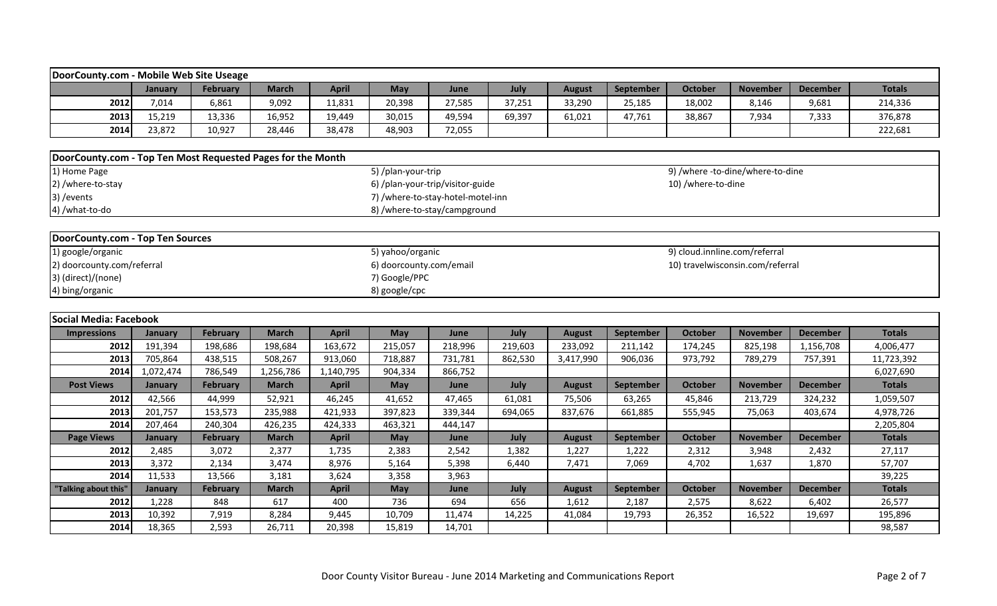| DoorCounty.com - Mobile Web Site Useage                     |                |                 |              |              |                                   |         |         |               |                  |                               |                                  |                 |                   |
|-------------------------------------------------------------|----------------|-----------------|--------------|--------------|-----------------------------------|---------|---------|---------------|------------------|-------------------------------|----------------------------------|-----------------|-------------------|
|                                                             | January        | February        | <b>March</b> | <b>April</b> | May                               | June    | July    | <b>August</b> | September        | <b>October</b>                | <b>November</b>                  | <b>December</b> | <b>Totals</b>     |
| 2012                                                        | 7,014          | 6,861           | 9,092        | 11,831       | 20,398                            | 27,585  | 37,251  | 33,290        | 25,185           | 18,002                        | 8,146                            | 9,681           | 214,336           |
| 2013                                                        | 15,219         | 13,336          | 16,952       | 19,449       | 30,015                            | 49,594  | 69,397  | 61,021        |                  | 38,867                        |                                  |                 | 376,878           |
|                                                             | 23,872         |                 |              |              |                                   |         |         |               | 47,761           |                               | 7,934                            | 7,333           |                   |
| 2014                                                        |                | 10,927          | 28,446       | 38,478       | 48,903                            | 72,055  |         |               |                  |                               |                                  |                 | 222,681           |
| DoorCounty.com - Top Ten Most Requested Pages for the Month |                |                 |              |              |                                   |         |         |               |                  |                               |                                  |                 |                   |
| 1) Home Page                                                |                |                 |              |              | 5) /plan-your-trip                |         |         |               |                  |                               | 9) /where -to-dine/where-to-dine |                 |                   |
| 2) /where-to-stay                                           |                |                 |              |              | 6) /plan-your-trip/visitor-guide  |         |         |               |                  | 10) /where-to-dine            |                                  |                 |                   |
| 3) / events                                                 |                |                 |              |              | 7) /where-to-stay-hotel-motel-inn |         |         |               |                  |                               |                                  |                 |                   |
| 4) /what-to-do                                              |                |                 |              |              | 8) /where-to-stay/campground      |         |         |               |                  |                               |                                  |                 |                   |
|                                                             |                |                 |              |              |                                   |         |         |               |                  |                               |                                  |                 |                   |
| DoorCounty.com - Top Ten Sources                            |                |                 |              |              |                                   |         |         |               |                  |                               |                                  |                 |                   |
| 1) google/organic                                           |                |                 |              |              | 5) yahoo/organic                  |         |         |               |                  | 9) cloud.innline.com/referral |                                  |                 |                   |
| 2) doorcounty.com/referral                                  |                |                 |              |              | 6) doorcounty.com/email           |         |         |               |                  |                               | 10) travelwisconsin.com/referral |                 |                   |
| 3) (direct)/(none)                                          |                |                 |              |              | 7) Google/PPC                     |         |         |               |                  |                               |                                  |                 |                   |
| 4) bing/organic                                             |                |                 |              |              | 8) google/cpc                     |         |         |               |                  |                               |                                  |                 |                   |
|                                                             |                |                 |              |              |                                   |         |         |               |                  |                               |                                  |                 |                   |
|                                                             |                |                 |              |              |                                   |         |         |               |                  |                               |                                  |                 |                   |
| Social Media: Facebook                                      |                |                 |              |              |                                   |         |         |               |                  |                               |                                  |                 |                   |
| <b>Impressions</b>                                          | January        | February        | <b>March</b> | <b>April</b> | May                               | June    | July    | <b>August</b> | September        | <b>October</b>                | <b>November</b>                  | <b>December</b> | <b>Totals</b>     |
| 2012                                                        | 191,394        | 198,686         | 198,684      | 163,672      | 215,057                           | 218,996 | 219,603 | 233,092       | 211,142          | 174,245                       | 825,198                          | 1,156,708       | 4,006,477         |
| 2013                                                        | 705,864        | 438,515         | 508,267      | 913,060      | 718,887                           | 731,781 | 862,530 | 3,417,990     | 906,036          | 973,792                       | 789,279                          | 757,391         | 11,723,392        |
| 2014                                                        | 1,072,474      | 786,549         | 1,256,786    | 1,140,795    | 904,334                           | 866,752 |         |               |                  |                               |                                  |                 | 6,027,690         |
| <b>Post Views</b>                                           | January        | <b>February</b> | <b>March</b> | <b>April</b> | <b>May</b>                        | June    | July    | <b>August</b> | <b>September</b> | <b>October</b>                | <b>November</b>                  | <b>December</b> | <b>Totals</b>     |
| 2012                                                        | 42,566         | 44,999          | 52,921       | 46,245       | 41,652                            | 47,465  | 61,081  | 75,506        | 63,265           | 45,846                        | 213,729                          | 324,232         | 1,059,507         |
| 2013                                                        | 201,757        | 153,573         | 235,988      | 421,933      | 397,823                           | 339,344 | 694,065 | 837,676       | 661,885          | 555,945                       | 75,063                           | 403,674         | 4,978,726         |
| 2014                                                        | 207,464        | 240,304         | 426,235      | 424,333      | 463,321                           | 444,147 |         |               |                  |                               |                                  |                 | 2,205,804         |
| <b>Page Views</b>                                           | <b>January</b> | February        | <b>March</b> | <b>April</b> | May                               | June    | July    | <b>August</b> | September        | <b>October</b>                | <b>November</b>                  | <b>December</b> | <b>Totals</b>     |
| 2012                                                        | 2,485          | 3,072           | 2,377        | 1,735        | 2,383                             | 2,542   | 1,382   | 1,227         | 1,222            | 2,312                         | 3,948                            | 2,432           | 27,117            |
| 2013                                                        | 3,372          | 2,134           | 3,474        | 8,976        | 5,164                             | 5,398   | 6,440   | 7,471         | 7,069            | 4,702                         | 1,637                            | 1,870           | 57,707            |
| 2014                                                        | 11,533         | 13,566          | 3,181        | 3,624        | 3,358                             | 3,963   |         |               |                  |                               |                                  |                 | 39,225            |
| "Talking about this"                                        | <b>January</b> | February        | <b>March</b> | <b>April</b> | May                               | June    | July    | <b>August</b> | September        | <b>October</b>                | <b>November</b>                  | <b>December</b> | <b>Totals</b>     |
| 2012                                                        | 1,228          | 848             | 617          | 400          | 736                               | 694     | 656     | 1,612         | 2,187            | 2,575                         | 8,622                            | 6,402           | 26,577            |
| 2013                                                        | 10,392         | 7,919           | 8,284        | 9,445        | 10,709                            | 11,474  | 14,225  | 41,084        | 19,793           | 26,352                        | 16,522                           | 19,697          | 195,896<br>98,587 |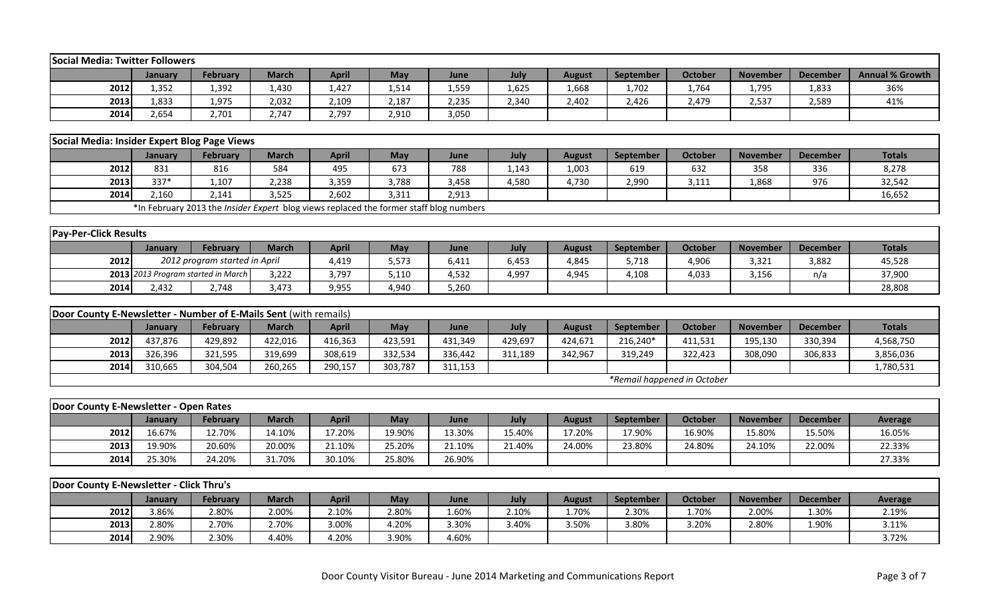| <b>February</b><br><b>March</b><br>July<br><b>Annual % Growth</b><br><b>April</b><br>May<br><b>August</b><br>September<br><b>October</b><br><b>November</b><br><b>December</b><br>January<br>June<br>2012<br>1,625<br>36%<br>1,352<br>1,392<br>1,430<br>1,427<br>1,514<br>1,559<br>1,668<br>1,702<br>1,764<br>1,795<br>1,833<br>2,032<br>2,187<br>2013<br>1,833<br>1,975<br>2,109<br>2,235<br>2,340<br>2,402<br>2,426<br>2,479<br>2,537<br>2,589<br>41%<br>2014<br>2,654<br>2,747<br>2,797<br>2,910<br>3,050<br>2,701<br>Social Media: Insider Expert Blog Page Views<br><b>March</b><br>July<br><b>November</b><br><b>Totals</b><br>February<br><b>April</b><br>May<br>June<br><b>August</b><br>September<br><b>October</b><br><b>December</b><br><b>January</b><br>2012<br>831<br>816<br>584<br>495<br>673<br>788<br>1,143<br>619<br>632<br>358<br>8,278<br>1,003<br>336<br>337*<br>3,788<br>2013<br>1,107<br>2,238<br>3,359<br>3,458<br>4,580<br>4,730<br>2,990<br>3,111<br>1,868<br>976<br>32,542<br>2014<br>2,141<br>3,525<br>2,602<br>3,311<br>2,913<br>16,652<br>2,160<br>*In February 2013 the Insider Expert blog views replaced the former staff blog numbers<br><b>Pay-Per-Click Results</b><br><b>February</b><br><b>March</b><br><b>April</b><br>May<br>July<br><b>October</b><br><b>Totals</b><br>January<br>June<br><b>August</b><br>September<br><b>November</b><br><b>December</b><br>2012<br>2012 program started in April<br>5,573<br>6,453<br>5,718<br>3,321<br>3,882<br>45,528<br>4,419<br>6,411<br>4,845<br>4,906<br>2013 2013 Program started in March<br>3,222<br>5,110<br>4,532<br>4,997<br>n/a<br>37,900<br>3,797<br>4,945<br>4,108<br>4,033<br>3,156<br>2014<br>9,955<br>4,940<br>28,808<br>2,432<br>2,748<br>3,473<br>5,260<br>Door County E-Newsletter - Number of E-Mails Sent (with remails)<br>July<br><b>Totals</b><br>February<br><b>March</b><br><b>April</b><br>May<br>June<br>September<br><b>October</b><br><b>November</b><br><b>December</b><br>January<br><b>August</b><br>2012<br>437,876<br>429,892<br>422,016<br>416,363<br>423,591<br>431,349<br>429,697<br>216,240*<br>330,394<br>424,671<br>411,531<br>195,130<br>4,568,750 |  |
|----------------------------------------------------------------------------------------------------------------------------------------------------------------------------------------------------------------------------------------------------------------------------------------------------------------------------------------------------------------------------------------------------------------------------------------------------------------------------------------------------------------------------------------------------------------------------------------------------------------------------------------------------------------------------------------------------------------------------------------------------------------------------------------------------------------------------------------------------------------------------------------------------------------------------------------------------------------------------------------------------------------------------------------------------------------------------------------------------------------------------------------------------------------------------------------------------------------------------------------------------------------------------------------------------------------------------------------------------------------------------------------------------------------------------------------------------------------------------------------------------------------------------------------------------------------------------------------------------------------------------------------------------------------------------------------------------------------------------------------------------------------------------------------------------------------------------------------------------------------------------------------------------------------------------------------------------------------------------------------------------------------------------------------------------------------------------------------------------------------------------------------------------------------------------|--|
|                                                                                                                                                                                                                                                                                                                                                                                                                                                                                                                                                                                                                                                                                                                                                                                                                                                                                                                                                                                                                                                                                                                                                                                                                                                                                                                                                                                                                                                                                                                                                                                                                                                                                                                                                                                                                                                                                                                                                                                                                                                                                                                                                                            |  |
|                                                                                                                                                                                                                                                                                                                                                                                                                                                                                                                                                                                                                                                                                                                                                                                                                                                                                                                                                                                                                                                                                                                                                                                                                                                                                                                                                                                                                                                                                                                                                                                                                                                                                                                                                                                                                                                                                                                                                                                                                                                                                                                                                                            |  |
|                                                                                                                                                                                                                                                                                                                                                                                                                                                                                                                                                                                                                                                                                                                                                                                                                                                                                                                                                                                                                                                                                                                                                                                                                                                                                                                                                                                                                                                                                                                                                                                                                                                                                                                                                                                                                                                                                                                                                                                                                                                                                                                                                                            |  |
|                                                                                                                                                                                                                                                                                                                                                                                                                                                                                                                                                                                                                                                                                                                                                                                                                                                                                                                                                                                                                                                                                                                                                                                                                                                                                                                                                                                                                                                                                                                                                                                                                                                                                                                                                                                                                                                                                                                                                                                                                                                                                                                                                                            |  |
|                                                                                                                                                                                                                                                                                                                                                                                                                                                                                                                                                                                                                                                                                                                                                                                                                                                                                                                                                                                                                                                                                                                                                                                                                                                                                                                                                                                                                                                                                                                                                                                                                                                                                                                                                                                                                                                                                                                                                                                                                                                                                                                                                                            |  |
|                                                                                                                                                                                                                                                                                                                                                                                                                                                                                                                                                                                                                                                                                                                                                                                                                                                                                                                                                                                                                                                                                                                                                                                                                                                                                                                                                                                                                                                                                                                                                                                                                                                                                                                                                                                                                                                                                                                                                                                                                                                                                                                                                                            |  |
|                                                                                                                                                                                                                                                                                                                                                                                                                                                                                                                                                                                                                                                                                                                                                                                                                                                                                                                                                                                                                                                                                                                                                                                                                                                                                                                                                                                                                                                                                                                                                                                                                                                                                                                                                                                                                                                                                                                                                                                                                                                                                                                                                                            |  |
|                                                                                                                                                                                                                                                                                                                                                                                                                                                                                                                                                                                                                                                                                                                                                                                                                                                                                                                                                                                                                                                                                                                                                                                                                                                                                                                                                                                                                                                                                                                                                                                                                                                                                                                                                                                                                                                                                                                                                                                                                                                                                                                                                                            |  |
|                                                                                                                                                                                                                                                                                                                                                                                                                                                                                                                                                                                                                                                                                                                                                                                                                                                                                                                                                                                                                                                                                                                                                                                                                                                                                                                                                                                                                                                                                                                                                                                                                                                                                                                                                                                                                                                                                                                                                                                                                                                                                                                                                                            |  |
|                                                                                                                                                                                                                                                                                                                                                                                                                                                                                                                                                                                                                                                                                                                                                                                                                                                                                                                                                                                                                                                                                                                                                                                                                                                                                                                                                                                                                                                                                                                                                                                                                                                                                                                                                                                                                                                                                                                                                                                                                                                                                                                                                                            |  |
|                                                                                                                                                                                                                                                                                                                                                                                                                                                                                                                                                                                                                                                                                                                                                                                                                                                                                                                                                                                                                                                                                                                                                                                                                                                                                                                                                                                                                                                                                                                                                                                                                                                                                                                                                                                                                                                                                                                                                                                                                                                                                                                                                                            |  |
|                                                                                                                                                                                                                                                                                                                                                                                                                                                                                                                                                                                                                                                                                                                                                                                                                                                                                                                                                                                                                                                                                                                                                                                                                                                                                                                                                                                                                                                                                                                                                                                                                                                                                                                                                                                                                                                                                                                                                                                                                                                                                                                                                                            |  |
|                                                                                                                                                                                                                                                                                                                                                                                                                                                                                                                                                                                                                                                                                                                                                                                                                                                                                                                                                                                                                                                                                                                                                                                                                                                                                                                                                                                                                                                                                                                                                                                                                                                                                                                                                                                                                                                                                                                                                                                                                                                                                                                                                                            |  |
|                                                                                                                                                                                                                                                                                                                                                                                                                                                                                                                                                                                                                                                                                                                                                                                                                                                                                                                                                                                                                                                                                                                                                                                                                                                                                                                                                                                                                                                                                                                                                                                                                                                                                                                                                                                                                                                                                                                                                                                                                                                                                                                                                                            |  |
|                                                                                                                                                                                                                                                                                                                                                                                                                                                                                                                                                                                                                                                                                                                                                                                                                                                                                                                                                                                                                                                                                                                                                                                                                                                                                                                                                                                                                                                                                                                                                                                                                                                                                                                                                                                                                                                                                                                                                                                                                                                                                                                                                                            |  |
|                                                                                                                                                                                                                                                                                                                                                                                                                                                                                                                                                                                                                                                                                                                                                                                                                                                                                                                                                                                                                                                                                                                                                                                                                                                                                                                                                                                                                                                                                                                                                                                                                                                                                                                                                                                                                                                                                                                                                                                                                                                                                                                                                                            |  |
|                                                                                                                                                                                                                                                                                                                                                                                                                                                                                                                                                                                                                                                                                                                                                                                                                                                                                                                                                                                                                                                                                                                                                                                                                                                                                                                                                                                                                                                                                                                                                                                                                                                                                                                                                                                                                                                                                                                                                                                                                                                                                                                                                                            |  |
|                                                                                                                                                                                                                                                                                                                                                                                                                                                                                                                                                                                                                                                                                                                                                                                                                                                                                                                                                                                                                                                                                                                                                                                                                                                                                                                                                                                                                                                                                                                                                                                                                                                                                                                                                                                                                                                                                                                                                                                                                                                                                                                                                                            |  |
|                                                                                                                                                                                                                                                                                                                                                                                                                                                                                                                                                                                                                                                                                                                                                                                                                                                                                                                                                                                                                                                                                                                                                                                                                                                                                                                                                                                                                                                                                                                                                                                                                                                                                                                                                                                                                                                                                                                                                                                                                                                                                                                                                                            |  |
|                                                                                                                                                                                                                                                                                                                                                                                                                                                                                                                                                                                                                                                                                                                                                                                                                                                                                                                                                                                                                                                                                                                                                                                                                                                                                                                                                                                                                                                                                                                                                                                                                                                                                                                                                                                                                                                                                                                                                                                                                                                                                                                                                                            |  |
|                                                                                                                                                                                                                                                                                                                                                                                                                                                                                                                                                                                                                                                                                                                                                                                                                                                                                                                                                                                                                                                                                                                                                                                                                                                                                                                                                                                                                                                                                                                                                                                                                                                                                                                                                                                                                                                                                                                                                                                                                                                                                                                                                                            |  |
| 2013<br>326,396<br>321,595<br>332,534<br>319,699<br>308,619<br>336,442<br>311,189<br>342,967<br>319,249<br>322,423<br>308,090<br>306,833<br>3,856,036                                                                                                                                                                                                                                                                                                                                                                                                                                                                                                                                                                                                                                                                                                                                                                                                                                                                                                                                                                                                                                                                                                                                                                                                                                                                                                                                                                                                                                                                                                                                                                                                                                                                                                                                                                                                                                                                                                                                                                                                                      |  |
| 2014<br>304,504<br>290,157<br>1,780,531<br>310,665<br>260,265<br>303,787<br>311,153                                                                                                                                                                                                                                                                                                                                                                                                                                                                                                                                                                                                                                                                                                                                                                                                                                                                                                                                                                                                                                                                                                                                                                                                                                                                                                                                                                                                                                                                                                                                                                                                                                                                                                                                                                                                                                                                                                                                                                                                                                                                                        |  |
| *Remail happened in October                                                                                                                                                                                                                                                                                                                                                                                                                                                                                                                                                                                                                                                                                                                                                                                                                                                                                                                                                                                                                                                                                                                                                                                                                                                                                                                                                                                                                                                                                                                                                                                                                                                                                                                                                                                                                                                                                                                                                                                                                                                                                                                                                |  |
|                                                                                                                                                                                                                                                                                                                                                                                                                                                                                                                                                                                                                                                                                                                                                                                                                                                                                                                                                                                                                                                                                                                                                                                                                                                                                                                                                                                                                                                                                                                                                                                                                                                                                                                                                                                                                                                                                                                                                                                                                                                                                                                                                                            |  |
| Door County E-Newsletter - Open Rates                                                                                                                                                                                                                                                                                                                                                                                                                                                                                                                                                                                                                                                                                                                                                                                                                                                                                                                                                                                                                                                                                                                                                                                                                                                                                                                                                                                                                                                                                                                                                                                                                                                                                                                                                                                                                                                                                                                                                                                                                                                                                                                                      |  |
| July<br><b>March</b><br><b>April</b><br>May<br>September<br><b>October</b><br><b>November</b><br><b>December</b><br><b>February</b><br>June<br><b>August</b><br><b>Average</b><br><b>January</b>                                                                                                                                                                                                                                                                                                                                                                                                                                                                                                                                                                                                                                                                                                                                                                                                                                                                                                                                                                                                                                                                                                                                                                                                                                                                                                                                                                                                                                                                                                                                                                                                                                                                                                                                                                                                                                                                                                                                                                           |  |
| 2012<br>19.90%<br>17.90%<br>16.05%<br>16.67%<br>12.70%<br>14.10%<br>17.20%<br>13.30%<br>15.40%<br>17.20%<br>16.90%<br>15.80%<br>15.50%                                                                                                                                                                                                                                                                                                                                                                                                                                                                                                                                                                                                                                                                                                                                                                                                                                                                                                                                                                                                                                                                                                                                                                                                                                                                                                                                                                                                                                                                                                                                                                                                                                                                                                                                                                                                                                                                                                                                                                                                                                     |  |
| 2013<br>19.90%<br>20.60%<br>20.00%<br>21.10%<br>25.20%<br>21.10%<br>22.33%<br>21.40%<br>24.00%<br>23.80%<br>24.80%<br>24.10%<br>22.00%                                                                                                                                                                                                                                                                                                                                                                                                                                                                                                                                                                                                                                                                                                                                                                                                                                                                                                                                                                                                                                                                                                                                                                                                                                                                                                                                                                                                                                                                                                                                                                                                                                                                                                                                                                                                                                                                                                                                                                                                                                     |  |
| 2014<br>25.30%<br>27.33%<br>24.20%<br>31.70%<br>30.10%<br>25.80%<br>26.90%                                                                                                                                                                                                                                                                                                                                                                                                                                                                                                                                                                                                                                                                                                                                                                                                                                                                                                                                                                                                                                                                                                                                                                                                                                                                                                                                                                                                                                                                                                                                                                                                                                                                                                                                                                                                                                                                                                                                                                                                                                                                                                 |  |
|                                                                                                                                                                                                                                                                                                                                                                                                                                                                                                                                                                                                                                                                                                                                                                                                                                                                                                                                                                                                                                                                                                                                                                                                                                                                                                                                                                                                                                                                                                                                                                                                                                                                                                                                                                                                                                                                                                                                                                                                                                                                                                                                                                            |  |
| Door County E-Newsletter - Click Thru's                                                                                                                                                                                                                                                                                                                                                                                                                                                                                                                                                                                                                                                                                                                                                                                                                                                                                                                                                                                                                                                                                                                                                                                                                                                                                                                                                                                                                                                                                                                                                                                                                                                                                                                                                                                                                                                                                                                                                                                                                                                                                                                                    |  |
| July<br><b>March</b><br><b>April</b><br>May<br><b>October</b><br><b>November</b><br><b>December</b><br>February<br>June<br><b>August</b><br>September<br><b>Average</b><br>January                                                                                                                                                                                                                                                                                                                                                                                                                                                                                                                                                                                                                                                                                                                                                                                                                                                                                                                                                                                                                                                                                                                                                                                                                                                                                                                                                                                                                                                                                                                                                                                                                                                                                                                                                                                                                                                                                                                                                                                         |  |
| 2012<br>3.86%<br>2.00%<br>2.80%<br>2.10%<br>2.19%<br>2.80%<br>2.10%<br>1.60%<br>1.70%<br>2.30%<br>1.70%<br>2.00%<br>1.30%                                                                                                                                                                                                                                                                                                                                                                                                                                                                                                                                                                                                                                                                                                                                                                                                                                                                                                                                                                                                                                                                                                                                                                                                                                                                                                                                                                                                                                                                                                                                                                                                                                                                                                                                                                                                                                                                                                                                                                                                                                                  |  |
| 2.70%<br>2013<br>2.80%<br>2.70%<br>3.00%<br>4.20%<br>3.30%<br>3.40%<br>3.50%<br>3.80%<br>3.20%<br>2.80%<br>1.90%<br>3.11%                                                                                                                                                                                                                                                                                                                                                                                                                                                                                                                                                                                                                                                                                                                                                                                                                                                                                                                                                                                                                                                                                                                                                                                                                                                                                                                                                                                                                                                                                                                                                                                                                                                                                                                                                                                                                                                                                                                                                                                                                                                  |  |
| 2.90%<br>2014<br>2.30%<br>4.40%<br>4.20%<br>3.90%<br>4.60%<br>3.72%                                                                                                                                                                                                                                                                                                                                                                                                                                                                                                                                                                                                                                                                                                                                                                                                                                                                                                                                                                                                                                                                                                                                                                                                                                                                                                                                                                                                                                                                                                                                                                                                                                                                                                                                                                                                                                                                                                                                                                                                                                                                                                        |  |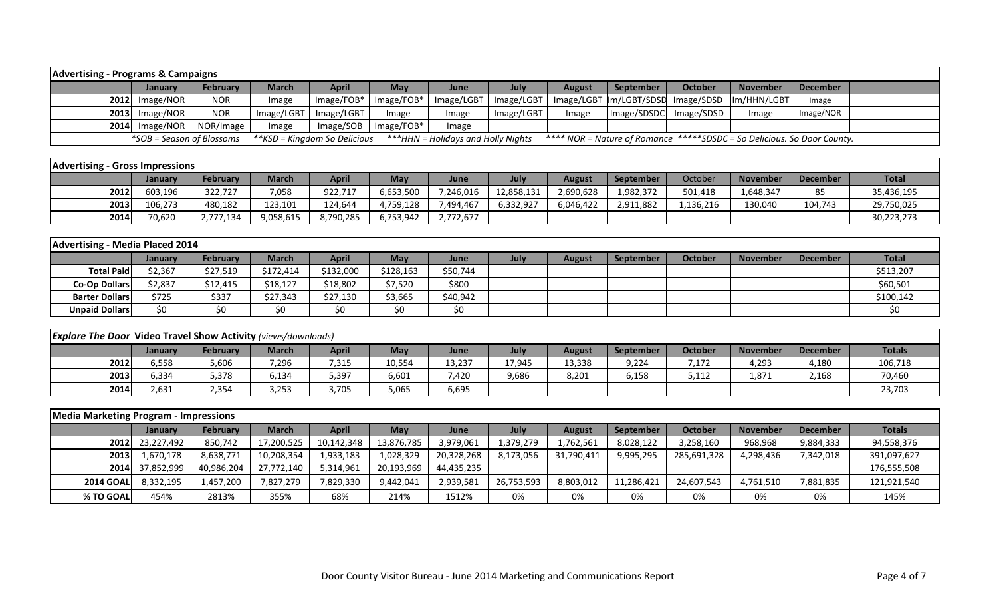| <b>Advertising - Programs &amp; Campaigns</b> |                           |                 |            |                              |              |                                    |            |               |                                    |                |                                                                         |           |  |
|-----------------------------------------------|---------------------------|-----------------|------------|------------------------------|--------------|------------------------------------|------------|---------------|------------------------------------|----------------|-------------------------------------------------------------------------|-----------|--|
|                                               | Januarv                   | <b>February</b> | March      | <b>April</b>                 | <b>May</b>   | June                               | July       | <b>August</b> | September                          | <b>October</b> | <b>November</b>                                                         | December  |  |
|                                               | $2012$ Image/NOR          | <b>NOR</b>      | Image      | $Image/FOB*$                 | $Image/FOB*$ | Image/LGBT                         | Image/LGBT |               | Image/LGBT Im/LGBT/SDSD Image/SDSD |                | Im/HHN/LGBT                                                             | Image     |  |
|                                               | $2013$ Image/NOR          | <b>NOR</b>      | Image/LGBT | Image/LGBT                   | Image        | Image                              | Image/LGBT | Image         | Image/SDSDC                        | Image/SDSD     | Image                                                                   | Image/NOR |  |
|                                               | $2014$ Image/NOR          | NOR/Image       | Image      | Image/SOB                    | $Image/FOB*$ | Image                              |            |               |                                    |                |                                                                         |           |  |
|                                               | *SOB = Season of Blossoms |                 |            | **KSD = Kingdom So Delicious |              | ***HHN = Holidays and Holly Nights |            |               |                                    |                | **** NOR = Nature of Romance *****SDSDC = So Delicious. So Door County. |           |  |

| <b>Advertising - Gross Impressions</b> |                |           |           |           |           |           |            |           |                  |           |                 |                 |              |
|----------------------------------------|----------------|-----------|-----------|-----------|-----------|-----------|------------|-----------|------------------|-----------|-----------------|-----------------|--------------|
|                                        | <b>January</b> | February  | March     | April     | May       | June      | July       | August    | <b>September</b> | October   | <b>November</b> | <b>December</b> | <b>Total</b> |
| 2012                                   | 603,196        | 322,727   | 7,058     | 922,717   | 6,653,500 | 7,246,016 | 12,858,131 | 2,690,628 | 1,982,372        | 501,418   | 1,648,347       | 85              | 35,436,195   |
| 2013                                   | 106.273        | 480,182   | 123,101   | 124.644   | 4,759,128 | 7.494.467 | 6,332,927  | 6.046.422 | 2,911,882        | 1,136,216 | 130,040         | 104,743         | 29,750,025   |
| 2014                                   | 70,620         | 2,777,134 | 9,058,615 | 8,790,285 | 6,753,942 | 2,772,677 |            |           |                  |           |                 |                 | 30,223,273   |

| Advertising - Media Placed 2014 |                |                 |           |              |            |             |      |        |                  |         |                 |                 |              |
|---------------------------------|----------------|-----------------|-----------|--------------|------------|-------------|------|--------|------------------|---------|-----------------|-----------------|--------------|
|                                 | <b>January</b> | <b>February</b> | March     | <b>April</b> | <b>May</b> | <b>June</b> | July | August | <b>September</b> | October | <b>November</b> | <b>December</b> | <b>Total</b> |
| <b>Total Paid</b>               | \$2,367        | \$27,519        | \$172,414 | \$132,000    | \$128,163  | \$50,744    |      |        |                  |         |                 |                 | \$513,207    |
| <b>Co-Op Dollars</b>            | \$2,837        | \$12,415        | \$18,127  | \$18,802     | \$7,520    | \$800       |      |        |                  |         |                 |                 | \$60,501     |
| <b>Barter Dollars</b>           | \$725          | \$337           | \$27,343  | \$27,130     | \$3,665    | \$40,942    |      |        |                  |         |                 |                 | \$100,142    |
| <b>Unpaid Dollars</b>           | \$0            | \$0             | S0        | \$0          | S0         | \$0         |      |        |                  |         |                 |                 |              |

| <b>Explore The Door Video Travel Show Activity (views/downloads)</b> |         |                 |              |       |            |        |        |        |           |         |                 |          |               |
|----------------------------------------------------------------------|---------|-----------------|--------------|-------|------------|--------|--------|--------|-----------|---------|-----------------|----------|---------------|
|                                                                      | Januarv | <b>February</b> | <b>March</b> | April | <b>May</b> | June   | July   | August | September | October | <b>November</b> | December | <b>Totals</b> |
| 2012                                                                 | 6,558   | 5,606           | ,296         | 515,  | 10,554     | 13,237 | 17,945 | 13,338 | 9,224     | 7,172   | 4,293           | 4,180    | 106,718       |
| 2013                                                                 | 5,334   | 5,378           | 6,134        | 5,397 | 6,601      | 7,420  | 9,686  | 8,201  | 6,158     | 5,112   | 1,871           | 2,168    | 70,460        |
| 2014                                                                 | 2,631   | 2,354           | 3,253        | 3,705 | 5,065      | 6,695  |        |        |           |         |                 |          | 23,703        |

| Media Marketing Program - Impressions |                 |                 |              |            |            |            |            |               |                  |                |                 |                 |               |
|---------------------------------------|-----------------|-----------------|--------------|------------|------------|------------|------------|---------------|------------------|----------------|-----------------|-----------------|---------------|
|                                       | <b>January</b>  | <b>February</b> | <b>March</b> | April      | May        | June       | July       | <b>August</b> | <b>September</b> | <b>October</b> | <b>November</b> | <b>December</b> | <b>Totals</b> |
|                                       | 2012 23,227,492 | 850,742         | 17,200,525   | 10,142,348 | 13,876,785 | 3,979,061  | 1,379,279  | 1,762,561     | 8,028,122        | 3,258,160      | 968,968         | 9,884,333       | 94,558,376    |
| <b>2013</b>                           | 1,670,178       | 8,638,771       | 10,208,354   | 1,933,183  | 1,028,329  | 20,328,268 | 8,173,056  | 31,790,41     | 9,995,295        | 285,691,328    | 4,298,436       | 7,342,018       | 391,097,627   |
|                                       | 2014 37,852,999 | 40,986,204      | 27,772,140   | 5,314,961  | 20,193,969 | 44,435,235 |            |               |                  |                |                 |                 | 176,555,508   |
| <b>2014 GOAL</b>                      | 8,332,195       | 1,457,200       | 7,827,279    | 7,829,330  | 9,442,041  | 2,939,581  | 26,753,593 | 8,803,012     | 11,286,421       | 24,607,543     | 4,761,510       | 7,881,835       | 121,921,540   |
| % TO GOAL                             | 454%            | 2813%           | 355%         | 68%        | 214%       | 1512%      | 0%         | 0%            | 0%               | 0%             | 0%              | 0%              | 145%          |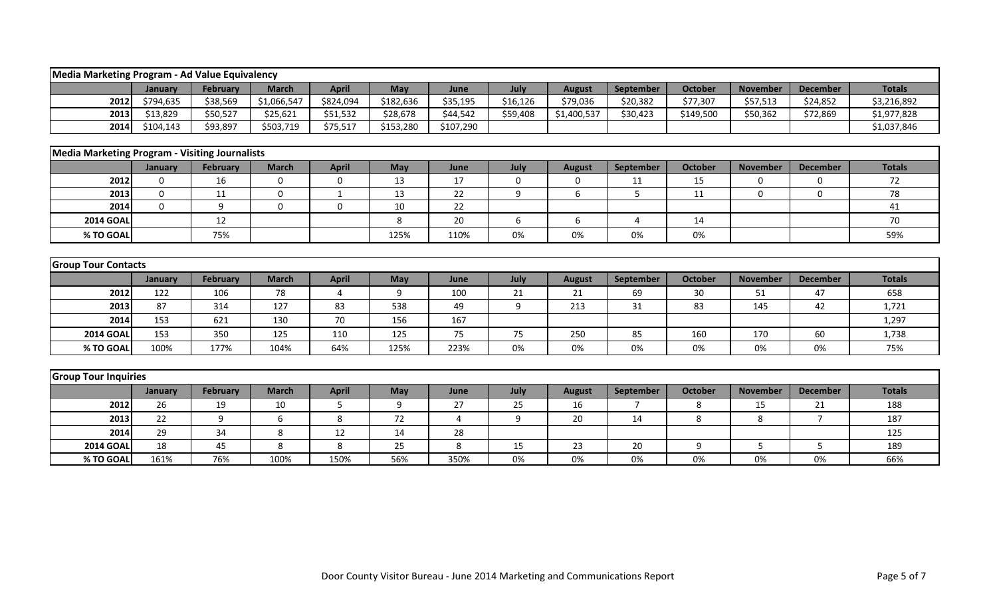| Media Marketing Program - Ad Value Equivalency        |             |                 |              |              |           |           |             |               |                |                |                 |                 |               |
|-------------------------------------------------------|-------------|-----------------|--------------|--------------|-----------|-----------|-------------|---------------|----------------|----------------|-----------------|-----------------|---------------|
|                                                       | January     | February        | <b>March</b> | <b>April</b> | May       | June      | July        | <b>August</b> | September      | <b>October</b> | <b>November</b> | <b>December</b> | <b>Totals</b> |
| 2012                                                  | \$794,635   | \$38,569        | \$1,066,547  | \$824,094    | \$182,636 | \$35,195  | \$16,126    | \$79,036      | \$20,382       | \$77,307       | \$57,513        | \$24,852        | \$3,216,892   |
| 2013                                                  | \$13,829    | \$50,527        | \$25,621     | \$51,532     | \$28,678  | \$44,542  | \$59,408    | \$1,400,537   | \$30,423       | \$149,500      | \$50,362        | \$72,869        | \$1,977,828   |
| 2014                                                  | \$104,143   | \$93,897        | \$503,719    | \$75,517     | \$153,280 | \$107,290 |             |               |                |                |                 |                 | \$1,037,846   |
|                                                       |             |                 |              |              |           |           |             |               |                |                |                 |                 |               |
| <b>Media Marketing Program - Visiting Journalists</b> |             |                 |              |              |           |           |             |               |                |                |                 |                 |               |
|                                                       | January     | <b>February</b> | <b>March</b> | <b>April</b> | May       | June      | July        | <b>August</b> | September      | <b>October</b> | <b>November</b> | <b>December</b> | <b>Totals</b> |
| 2012                                                  | $\mathbf 0$ | 16              | $\mathbf 0$  | $\mathbf 0$  | 13        | 17        | $\mathbf 0$ | 0             | 11             | 15             | $\mathbf 0$     | 0               | 72            |
| 2013                                                  | $\mathbf 0$ | 11              | $\mathbf 0$  | $\mathbf{1}$ | 13        | 22        | 9           | 6             | 5              | 11             | $\Omega$        | 0               | 78            |
| 2014                                                  | $\Omega$    | 9               | $\Omega$     | $\Omega$     | 10        | 22        |             |               |                |                |                 |                 | 41            |
| <b>2014 GOAL</b>                                      |             | 12              |              |              | 8         | 20        | 6           | 6             | 4              | 14             |                 |                 | 70            |
| % TO GOAL                                             |             | 75%             |              |              | 125%      | 110%      | 0%          | 0%            | 0%             | 0%             |                 |                 | 59%           |
|                                                       |             |                 |              |              |           |           |             |               |                |                |                 |                 |               |
| <b>Group Tour Contacts</b>                            |             |                 |              |              |           |           |             |               |                |                |                 |                 |               |
|                                                       | January     | <b>February</b> | <b>March</b> | <b>April</b> | May       | June      | July        | <b>August</b> | September      | <b>October</b> | <b>November</b> | <b>December</b> | <b>Totals</b> |
| 2012                                                  | 122         | 106             | 78           | 4            | 9         | 100       | 21          | 21            | 69             | 30             | 51              | 47              | 658           |
| 2013                                                  | 87          | 314             | 127          | 83           | 538       | 49        | 9           | 213           | 31             | 83             | 145             | 42              | 1,721         |
| 2014                                                  | 153         | 621             | 130          | 70           | 156       | 167       |             |               |                |                |                 |                 | 1,297         |
| <b>2014 GOAL</b>                                      | 153         | 350             | 125          | 110          | 125       | 75        | 75          | 250           | 85             | 160            | 170             | 60              | 1,738         |
| % TO GOAL                                             | 100%        | 177%            | 104%         | 64%          | 125%      | 223%      | 0%          | 0%            | 0%             | 0%             | 0%              | 0%              | 75%           |
|                                                       |             |                 |              |              |           |           |             |               |                |                |                 |                 |               |
| <b>Group Tour Inquiries</b>                           |             |                 |              |              |           |           |             |               |                |                |                 |                 |               |
|                                                       | January     | <b>February</b> | <b>March</b> | <b>April</b> | May       | June      | July        | <b>August</b> | September      | <b>October</b> | <b>November</b> | <b>December</b> | <b>Totals</b> |
| 2012                                                  | 26          | 19              | 10           | 5            | 9         | 27        | 25          | 16            | $\overline{7}$ | 8              | 15              | 21              | 188           |
| 2013                                                  | 22          | 9               | 6            | 8            | 72        | 4         | 9           | 20            | 14             | 8              | 8               | $\overline{7}$  | 187           |
| 2014                                                  | 29          | 34              | 8            | 12           | 14        | 28        |             |               |                |                |                 |                 | 125           |
| <b>2014 GOAI</b>                                      | 18          | 45              | 8            | 8            | 25        | 8         | 15          | 23            | 20             | 9              | 5               | 5               | 189           |
| % TO GOAL                                             | 161%        | 76%             | 100%         | 150%         | 56%       | 350%      | 0%          | 0%            | 0%             | 0%             | 0%              | 0%              | 66%           |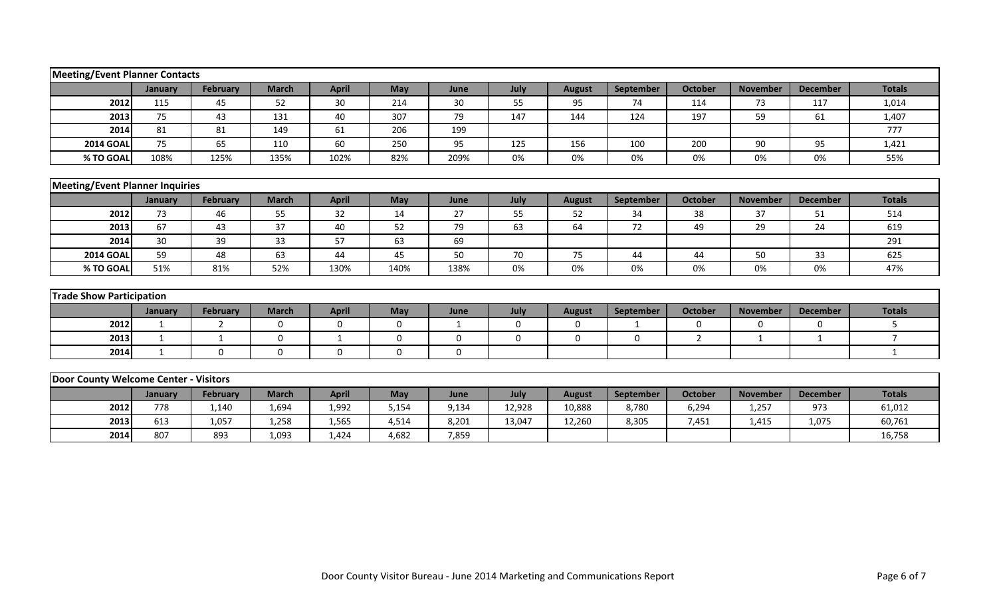| <b>Meeting/Event Planner Contacts</b>  |              |                 |              |              |             |              |             |               |              |                |                 |                 |                |
|----------------------------------------|--------------|-----------------|--------------|--------------|-------------|--------------|-------------|---------------|--------------|----------------|-----------------|-----------------|----------------|
|                                        | January      | <b>February</b> | <b>March</b> | <b>April</b> | May         | June         | July        | <b>August</b> | September    | <b>October</b> | <b>November</b> | <b>December</b> | <b>Totals</b>  |
| 2012                                   | 115          | 45              | 52           | 30           | 214         | 30           | 55          | 95            | 74           | 114            | 73              | 117             | 1,014          |
| 2013                                   | 75           | 43              | 131          | 40           | 307         | 79           | 147         | 144           | 124          | 197            | 59              | 61              | 1,407          |
| 2014                                   | 81           | 81              | 149          | 61           | 206         | 199          |             |               |              |                |                 |                 | 777            |
| <b>2014 GOAL</b>                       | 75           | 65              | 110          | 60           | 250         | 95           | 125         | 156           | 100          | 200            | 90              | 95              | 1,421          |
| % TO GOAL                              | 108%         | 125%            | 135%         | 102%         | 82%         | 209%         | 0%          | 0%            | 0%           | 0%             | 0%              | 0%              | 55%            |
|                                        |              |                 |              |              |             |              |             |               |              |                |                 |                 |                |
| <b>Meeting/Event Planner Inquiries</b> |              |                 |              |              |             |              |             |               |              |                |                 |                 |                |
|                                        | January      | <b>February</b> | <b>March</b> | <b>April</b> | May         | June         | July        | <b>August</b> | September    | <b>October</b> | <b>November</b> | <b>December</b> | <b>Totals</b>  |
| 2012                                   | 73           | 46              | 55           | 32           | 14          | 27           | 55          | 52            | 34           | 38             | 37              | 51              | 514            |
| 2013                                   | 67           | 43              | 37           | 40           | 52          | 79           | 63          | 64            | 72           | 49             | 29              | 24              | 619            |
| 2014                                   | 30           | 39              | 33           | 57           | 63          | 69           |             |               |              |                |                 |                 | 291            |
| <b>2014 GOAL</b>                       | 59           | 48              | 63           | 44           | 45          | 50           | 70          | 75            | 44           | 44             | 50              | 33              | 625            |
| % TO GOAL                              | 51%          | 81%             | 52%          | 130%         | 140%        | 138%         | 0%          | 0%            | 0%           | 0%             | 0%              | 0%              | 47%            |
|                                        |              |                 |              |              |             |              |             |               |              |                |                 |                 |                |
| <b>Trade Show Participation</b>        |              |                 |              |              |             |              |             |               |              |                |                 |                 |                |
|                                        | January      | <b>February</b> | <b>March</b> | <b>April</b> | May         | June         | July        | <b>August</b> | September    | <b>October</b> | <b>November</b> | <b>December</b> | <b>Totals</b>  |
| 2012                                   | $\mathbf{1}$ | 2               | $\mathbf 0$  | $\mathbf 0$  | $\mathbf 0$ | $\mathbf{1}$ | $\mathbf 0$ | $\mathbf{0}$  | $\mathbf{1}$ | 0              | $\mathbf 0$     | $\mathbf 0$     | 5              |
| 2013                                   | $\mathbf{1}$ | $\mathbf{1}$    | $\mathbf 0$  | 1            | $\mathbf 0$ | 0            | $\mathbf 0$ | $\mathbf 0$   | $\mathbf{0}$ | $\overline{2}$ | 1               | $\mathbf{1}$    | $\overline{7}$ |
| 2014                                   | 1            | $\mathbf 0$     | $\Omega$     | $\mathbf{0}$ | $\Omega$    | 0            |             |               |              |                |                 |                 | $\mathbf{1}$   |
|                                        |              |                 |              |              |             |              |             |               |              |                |                 |                 |                |
| Door County Welcome Center - Visitors  |              |                 |              |              |             |              |             |               |              |                |                 |                 |                |
|                                        | January      | <b>February</b> | <b>March</b> | <b>April</b> | May         | June         | July        | <b>August</b> | September    | <b>October</b> | <b>November</b> | <b>December</b> | <b>Totals</b>  |
| 2012                                   | 778          | 1,140           | 1,694        | 1,992        | 5,154       | 9,134        | 12,928      | 10,888        | 8,780        | 6,294          | 1,257           | 973             | 61,012         |
| 2013                                   | 613          | 1,057           | 1,258        | 1,565        | 4,514       | 8,201        | 13,047      | 12,260        | 8,305        | 7,451          | 1,415           | 1,075           | 60,761         |
| 2014                                   | 807          | 893             | 1,093        | 1,424        | 4,682       | 7,859        |             |               |              |                |                 |                 | 16,758         |